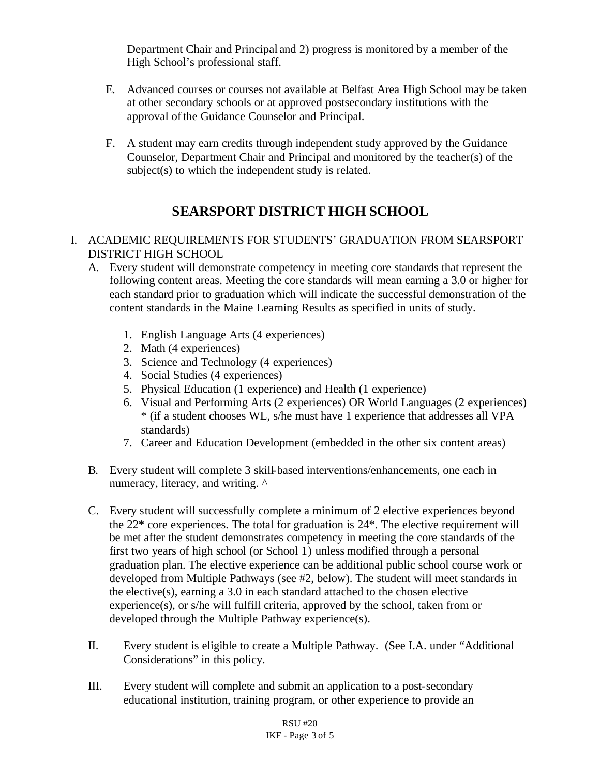Department Chair and Principal and 2) progress is monitored by a member of the High School's professional staff.

- E. Advanced courses or courses not available at Belfast Area High School may be taken at other secondary schools or at approved postsecondary institutions with the approval of the Guidance Counselor and Principal.
- F. A student may earn credits through independent study approved by the Guidance Counselor, Department Chair and Principal and monitored by the teacher(s) of the subject(s) to which the independent study is related.

## **SEARSPORT DISTRICT HIGH SCHOOL**

- I. ACADEMIC REQUIREMENTS FOR STUDENTS' GRADUATION FROM SEARSPORT DISTRICT HIGH SCHOOL
	- A. Every student will demonstrate competency in meeting core standards that represent the following content areas. Meeting the core standards will mean earning a 3.0 or higher for each standard prior to graduation which will indicate the successful demonstration of the content standards in the Maine Learning Results as specified in units of study.
		- 1. English Language Arts (4 experiences)
		- 2. Math (4 experiences)
		- 3. Science and Technology (4 experiences)
		- 4. Social Studies (4 experiences)
		- 5. Physical Education (1 experience) and Health (1 experience)
		- 6. Visual and Performing Arts (2 experiences) OR World Languages (2 experiences) \* (if a student chooses WL, s/he must have 1 experience that addresses all VPA standards)
		- 7. Career and Education Development (embedded in the other six content areas)
	- B. Every student will complete 3 skill-based interventions/enhancements, one each in numeracy, literacy, and writing.  $\wedge$
	- C. Every student will successfully complete a minimum of 2 elective experiences beyond the  $22^*$  core experiences. The total for graduation is  $24^*$ . The elective requirement will be met after the student demonstrates competency in meeting the core standards of the first two years of high school (or School 1) unless modified through a personal graduation plan. The elective experience can be additional public school course work or developed from Multiple Pathways (see #2, below). The student will meet standards in the elective(s), earning a 3.0 in each standard attached to the chosen elective experience(s), or s/he will fulfill criteria, approved by the school, taken from or developed through the Multiple Pathway experience(s).
	- II. Every student is eligible to create a Multiple Pathway. (See I.A. under "Additional Considerations" in this policy.
	- III. Every student will complete and submit an application to a post-secondary educational institution, training program, or other experience to provide an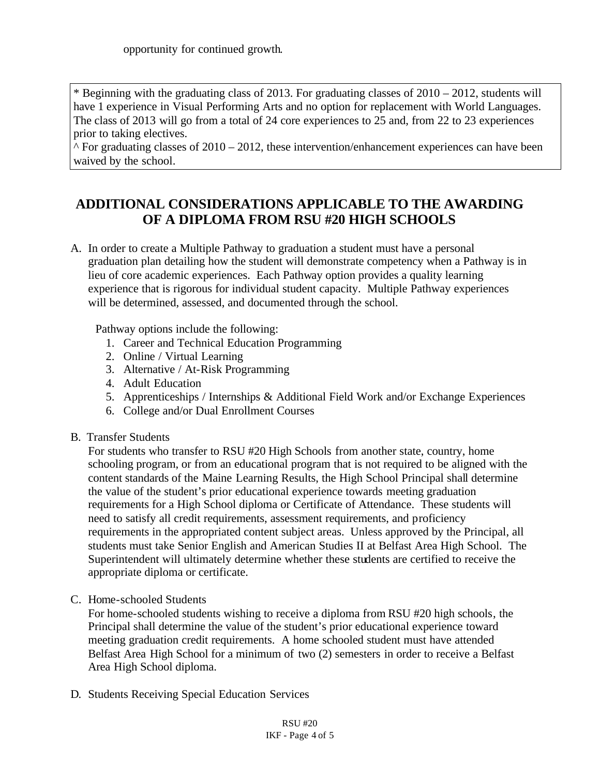\* Beginning with the graduating class of 2013. For graduating classes of 2010 – 2012, students will have 1 experience in Visual Performing Arts and no option for replacement with World Languages. The class of 2013 will go from a total of 24 core experiences to 25 and, from 22 to 23 experiences prior to taking electives.

 $\textdegree$  For graduating classes of 2010 – 2012, these intervention/enhancement experiences can have been waived by the school.

## **ADDITIONAL CONSIDERATIONS APPLICABLE TO THE AWARDING OF A DIPLOMA FROM RSU #20 HIGH SCHOOLS**

A. In order to create a Multiple Pathway to graduation a student must have a personal graduation plan detailing how the student will demonstrate competency when a Pathway is in lieu of core academic experiences. Each Pathway option provides a quality learning experience that is rigorous for individual student capacity. Multiple Pathway experiences will be determined, assessed, and documented through the school.

Pathway options include the following:

- 1. Career and Technical Education Programming
- 2. Online / Virtual Learning
- 3. Alternative / At-Risk Programming
- 4. Adult Education
- 5. Apprenticeships / Internships & Additional Field Work and/or Exchange Experiences
- 6. College and/or Dual Enrollment Courses
- B. Transfer Students

For students who transfer to RSU #20 High Schools from another state, country, home schooling program, or from an educational program that is not required to be aligned with the content standards of the Maine Learning Results, the High School Principal shall determine the value of the student's prior educational experience towards meeting graduation requirements for a High School diploma or Certificate of Attendance. These students will need to satisfy all credit requirements, assessment requirements, and proficiency requirements in the appropriated content subject areas. Unless approved by the Principal, all students must take Senior English and American Studies II at Belfast Area High School. The Superintendent will ultimately determine whether these students are certified to receive the appropriate diploma or certificate.

C. Home-schooled Students

For home-schooled students wishing to receive a diploma from RSU #20 high schools, the Principal shall determine the value of the student's prior educational experience toward meeting graduation credit requirements. A home schooled student must have attended Belfast Area High School for a minimum of two (2) semesters in order to receive a Belfast Area High School diploma.

D. Students Receiving Special Education Services